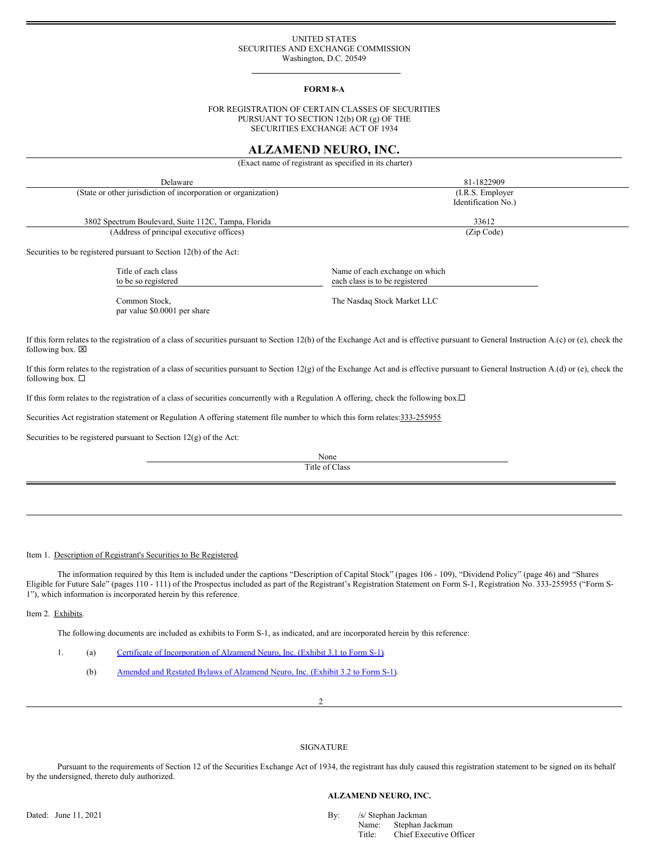## UNITED STATES SECURITIES AND EXCHANGE COMMISSION Washington, D.C. 20549

### **FORM 8-A**

FOR REGISTRATION OF CERTAIN CLASSES OF SECURITIES PURSUANT TO SECTION 12(b) OR (g) OF THE SECURITIES EXCHANGE ACT OF 1934

# **ALZAMEND NEURO, INC.**

(Exact name of registrant as specified in its charter)

| Delaware                                                          | 81-1822909                                                       |
|-------------------------------------------------------------------|------------------------------------------------------------------|
| (State or other jurisdiction of incorporation or organization)    | $(I.R.S.$ Employer<br>Identification No.)                        |
| 3802 Spectrum Boulevard, Suite 112C, Tampa, Florida               | 33612                                                            |
| (Address of principal executive offices)                          | (Zip Code)                                                       |
| Securities to be registered pursuant to Section 12(b) of the Act: |                                                                  |
| Title of each class<br>to be so registered                        | Name of each exchange on which<br>each class is to be registered |
| Common Stock,                                                     | The Nasdaq Stock Market LLC                                      |

If this form relates to the registration of a class of securities pursuant to Section 12(b) of the Exchange Act and is effective pursuant to General Instruction A.(c) or (e), check the following box.  $\boxtimes$ 

If this form relates to the registration of a class of securities pursuant to Section 12(g) of the Exchange Act and is effective pursuant to General Instruction A.(d) or (e), check the following box.  $\Box$ 

If this form relates to the registration of a class of securities concurrently with a Regulation A offering, check the following box.<sup>[]</sup>

Securities Act registration statement or Regulation A offering statement file number to which this form relates:333-255955

Securities to be registered pursuant to Section 12(g) of the Act:

par value \$0.0001 per share

None Title of Class

Item 1. Description of Registrant's Securities to Be Registered.

The information required by this Item is included under the captions "Description of Capital Stock" (pages 106 - 109), "Dividend Policy" (page 46) and "Shares Eligible for Future Sale" (pages 110 - 111) of the Prospectus included as part of the Registration's Registration Statement on Form S-1, Registration No. 333-255955 ("Form S-1"), which information is incorporated herein by this reference.

Item 2. Exhibits.

The following documents are included as exhibits to Form S-1, as indicated, and are incorporated herein by this reference:

1. (a) Certificate of [Incorporation](https://www.sec.gov/Archives/edgar/data/1677077/000161577416006901/filename3.htm) of Alzamend Neuro, Inc. (Exhibit 3.1 to Form S-1).

(b) Amended and Restated Bylaws of [Alzamend](https://www.sec.gov/Archives/edgar/data/1677077/000110465921063812/tm2039434d6_ex3-2.htm) Neuro, Inc. (Exhibit 3.2 to Form S-1).

2

### SIGNATURE

Pursuant to the requirements of Section 12 of the Securities Exchange Act of 1934, the registrant has duly caused this registration statement to be signed on its behalf by the undersigned, thereto duly authorized.

### **ALZAMEND NEURO, INC.**

Dated: June 11, 2021 By: /s/ Stephan Jackman Name: Stephan Jackman Name: Stephan Jackman Jackman Jackman Jackman Jackman Jackman Jackman Jackman Jackman Jackman Jackman Jackman Jackman Jackman Jackman Jackman Jackman Jackm Stephan Jackman Title: Chief Executive Officer